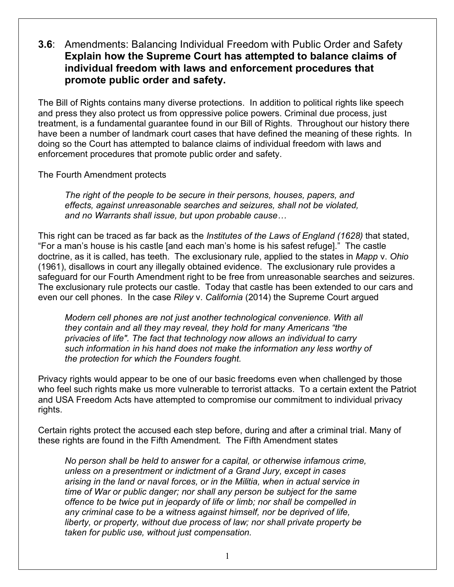**3.6**: Amendments: Balancing Individual Freedom with Public Order and Safety **Explain how the Supreme Court has attempted to balance claims of individual freedom with laws and enforcement procedures that promote public order and safety.** 

The Bill of Rights contains many diverse protections. In addition to political rights like speech and press they also protect us from oppressive police powers. Criminal due process, just treatment, is a fundamental guarantee found in our Bill of Rights. Throughout our history there have been a number of landmark court cases that have defined the meaning of these rights. In doing so the Court has attempted to balance claims of individual freedom with laws and enforcement procedures that promote public order and safety.

The Fourth Amendment protects

*The right of the people to be secure in their persons, houses, papers, and effects, against unreasonable searches and seizures, shall not be violated, and no Warrants shall issue, but upon probable cause…*

This right can be traced as far back as the *Institutes of the Laws of England (1628)* that stated, "For a man's house is his castle [and each man's home is his safest refuge]." The castle doctrine, as it is called, has teeth. The exclusionary rule, applied to the states in *Mapp* v. *Ohio* (1961), disallows in court any illegally obtained evidence. The exclusionary rule provides a safeguard for our Fourth Amendment right to be free from unreasonable searches and seizures. The exclusionary rule protects our castle. Today that castle has been extended to our cars and even our cell phones. In the case *Riley* v. *California* (2014) the Supreme Court argued

*Modern cell phones are not just another technological convenience. With all they contain and all they may reveal, they hold for many Americans "the privacies of life". The fact that technology now allows an individual to carry such information in his hand does not make the information any less worthy of the protection for which the Founders fought.*

Privacy rights would appear to be one of our basic freedoms even when challenged by those who feel such rights make us more vulnerable to terrorist attacks. To a certain extent the Patriot and USA Freedom Acts have attempted to compromise our commitment to individual privacy rights.

Certain rights protect the accused each step before, during and after a criminal trial. Many of these rights are found in the Fifth Amendment. The Fifth Amendment states

*No person shall be held to answer for a capital, or otherwise infamous crime, unless on a presentment or indictment of a Grand Jury, except in cases arising in the land or naval forces, or in the Militia, when in actual service in time of War or public danger; nor shall any person be subject for the same offence to be twice put in jeopardy of life or limb; nor shall be compelled in any criminal case to be a witness against himself, nor be deprived of life, liberty, or property, without due process of law; nor shall private property be taken for public use, without just compensation.*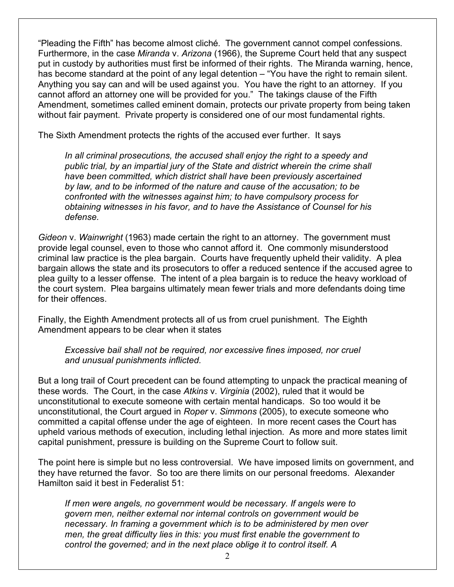"Pleading the Fifth" has become almost cliché. The government cannot compel confessions. Furthermore, in the case *Miranda* v. *Arizona* (1966), the Supreme Court held that any suspect put in custody by authorities must first be informed of their rights. The Miranda warning, hence, has become standard at the point of any legal detention – "You have the right to remain silent. Anything you say can and will be used against you. You have the right to an attorney. If you cannot afford an attorney one will be provided for you." The takings clause of the Fifth Amendment, sometimes called eminent domain, protects our private property from being taken without fair payment. Private property is considered one of our most fundamental rights.

The Sixth Amendment protects the rights of the accused ever further. It says

*In all criminal prosecutions, the accused shall enjoy the right to a speedy and public trial, by an impartial jury of the State and district wherein the crime shall have been committed, which district shall have been previously ascertained by law, and to be informed of the nature and cause of the accusation; to be confronted with the witnesses against him; to have compulsory process for obtaining witnesses in his favor, and to have the Assistance of Counsel for his defense.*

*Gideon* v. *Wainwright* (1963) made certain the right to an attorney. The government must provide legal counsel, even to those who cannot afford it. One commonly misunderstood criminal law practice is the plea bargain. Courts have frequently upheld their validity. A plea bargain allows the state and its prosecutors to offer a reduced sentence if the accused agree to plea guilty to a lesser offense. The intent of a plea bargain is to reduce the heavy workload of the court system. Plea bargains ultimately mean fewer trials and more defendants doing time for their offences.

Finally, the Eighth Amendment protects all of us from cruel punishment. The Eighth Amendment appears to be clear when it states

*Excessive bail shall not be required, nor excessive fines imposed, nor cruel and unusual punishments inflicted.*

But a long trail of Court precedent can be found attempting to unpack the practical meaning of these words. The Court, in the case *Atkins* v. *Virginia* (2002), ruled that it would be unconstitutional to execute someone with certain mental handicaps. So too would it be unconstitutional, the Court argued in *Roper* v. *Simmons* (2005), to execute someone who committed a capital offense under the age of eighteen. In more recent cases the Court has upheld various methods of execution, including lethal injection. As more and more states limit capital punishment, pressure is building on the Supreme Court to follow suit.

The point here is simple but no less controversial. We have imposed limits on government, and they have returned the favor. So too are there limits on our personal freedoms. Alexander Hamilton said it best in Federalist 51:

*If men were angels, no government would be necessary. If angels were to govern men, neither external nor internal controls on government would be necessary. In framing a government which is to be administered by men over men, the great difficulty lies in this: you must first enable the government to control the governed; and in the next place oblige it to control itself. A*